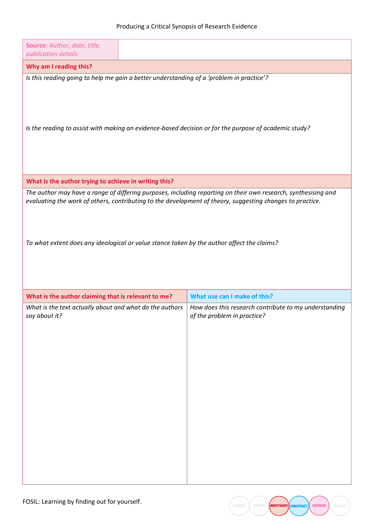| Source: Author, date, title,                                                                                                                                                                                                                                                                                              |  |                                                                                      |  |
|---------------------------------------------------------------------------------------------------------------------------------------------------------------------------------------------------------------------------------------------------------------------------------------------------------------------------|--|--------------------------------------------------------------------------------------|--|
| publication details                                                                                                                                                                                                                                                                                                       |  |                                                                                      |  |
| Why am I reading this?<br>Is this reading going to help me gain a better understanding of a 'problem in practice'?                                                                                                                                                                                                        |  |                                                                                      |  |
| Is the reading to assist with making an evidence-based decision or for the purpose of academic study?                                                                                                                                                                                                                     |  |                                                                                      |  |
| What is the author trying to achieve in writing this?                                                                                                                                                                                                                                                                     |  |                                                                                      |  |
| The author may have a range of differing purposes, including reporting on their own research, synthesising and<br>evaluating the work of others, contributing to the development of theory, suggesting changes to practice.<br>To what extent does any ideological or value stance taken by the author affect the claims? |  |                                                                                      |  |
| What is the author claiming that is relevant to me?                                                                                                                                                                                                                                                                       |  | What use can I make of this?                                                         |  |
| What is the text actually about and what do the authors<br>say about it?                                                                                                                                                                                                                                                  |  | How does this research contribute to my understanding<br>of the problem in practice? |  |

EXPRESS

RUCT **CONST** 

**INVESTIGATE**